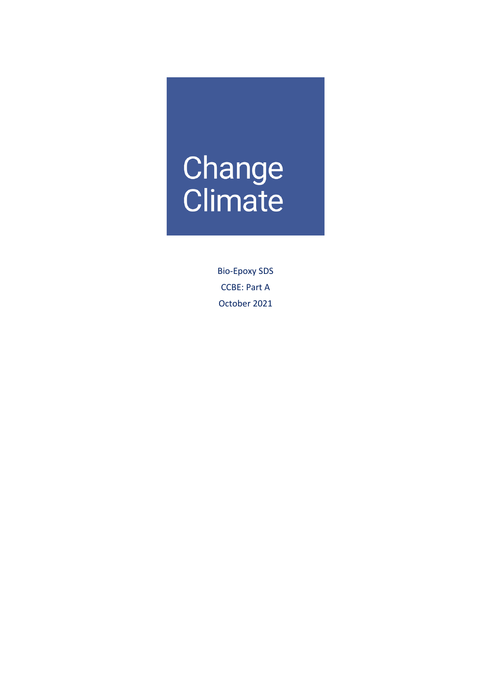# Change<br>Climate

Bio-Epoxy SDS CCBE: Part A October 2021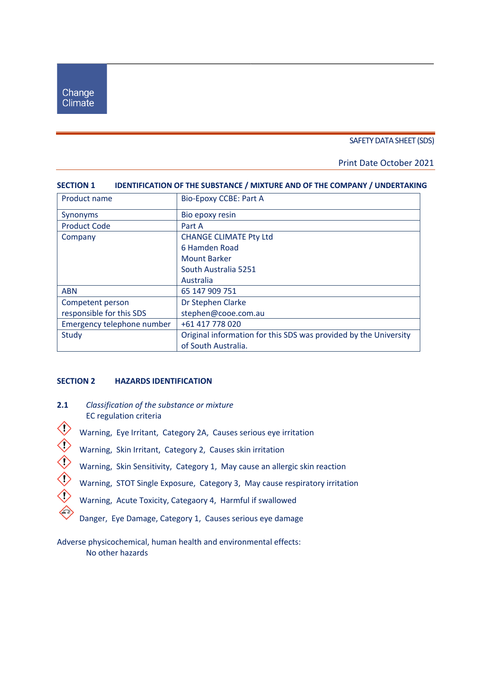#### SAFETY DATA SHEET (SDS)

#### Print Date October 2021

| Product name               | <b>Bio-Epoxy CCBE: Part A</b>                                    |
|----------------------------|------------------------------------------------------------------|
| Synonyms                   | Bio epoxy resin                                                  |
| <b>Product Code</b>        | Part A                                                           |
| Company                    | <b>CHANGE CLIMATE Pty Ltd</b>                                    |
|                            | 6 Hamden Road                                                    |
|                            | <b>Mount Barker</b>                                              |
|                            | South Australia 5251                                             |
|                            | Australia                                                        |
| <b>ABN</b>                 | 65 147 909 751                                                   |
| Competent person           | Dr Stephen Clarke                                                |
| responsible for this SDS   | stephen@cooe.com.au                                              |
| Emergency telephone number | +61 417 778 020                                                  |
| Study                      | Original information for this SDS was provided by the University |
|                            | of South Australia.                                              |

# **SECTION 1 IDENTIFICATION OF THE SUBSTANCE / MIXTURE AND OF THE COMPANY / UNDERTAKING**

#### **SECTION 2 HAZARDS IDENTIFICATION**

- **2.1** *Classification of the substance or mixture* EC regulation criteria
- Warning, Eye Irritant, Category 2A, Causes serious eye irritation<br>
Warning, Skin Irritant, Category 2, Causes skin irritation<br>
Warning, Skin Sensitivity, Category 1, May cause an allergic skin<br>
Warning, STOT Single Exposur
	- Warning, Skin Irritant, Category 2, Causes skin irritation
	- Warning, Skin Sensitivity, Category 1, May cause an allergic skin reaction
	- Warning, STOT Single Exposure, Category 3, May cause respiratory irritation
	- Warning, Acute Toxicity, Categaory 4, Harmful if swallowed
		- Danger, Eye Damage, Category 1, Causes serious eye damage

Adverse physicochemical, human health and environmental effects: No other hazards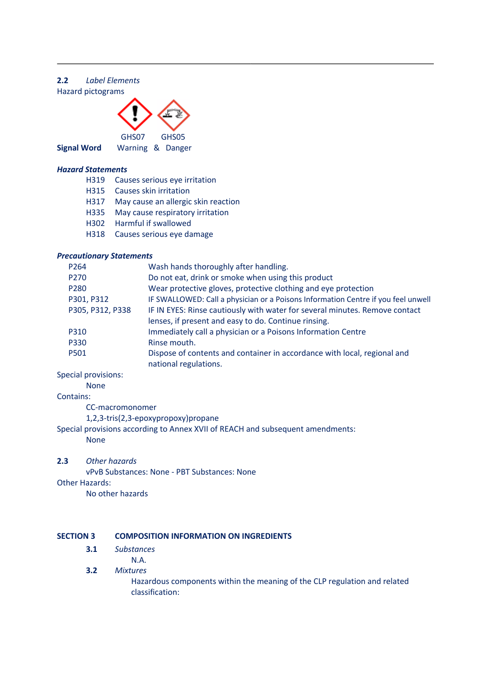# **2.2** *Label Elements* Hazard pictograms



**Signal Word** Warning & Danger

#### *Hazard Statements*

- H319 Causes serious eye irritation
- H315 Causes skin irritation
- H317 May cause an allergic skin reaction
- H335 May cause respiratory irritation
- H302 Harmful if swallowed
- H318 Causes serious eye damage

#### *Precautionary Statements*

| Wash hands thoroughly after handling.                                                             |
|---------------------------------------------------------------------------------------------------|
| Do not eat, drink or smoke when using this product                                                |
| Wear protective gloves, protective clothing and eye protection                                    |
| IF SWALLOWED: Call a physician or a Poisons Information Centre if you feel unwell                 |
| IF IN EYES: Rinse cautiously with water for several minutes. Remove contact                       |
| lenses, if present and easy to do. Continue rinsing.                                              |
| Immediately call a physician or a Poisons Information Centre                                      |
| Rinse mouth.                                                                                      |
| Dispose of contents and container in accordance with local, regional and<br>national regulations. |
|                                                                                                   |

Special provisions:

#### None

#### Contains:

CC-macromonomer

1,2,3-tris(2,3-epoxypropoxy)propane

Special provisions according to Annex XVII of REACH and subsequent amendments:

None

#### **2.3** *Other hazards*

vPvB Substances: None - PBT Substances: None Other Hazards: No other hazards

#### **SECTION 3 COMPOSITION INFORMATION ON INGREDIENTS**

- **3.1** *Substances*
	- N.A.

# **3.2** *Mixtures*

Hazardous components within the meaning of the CLP regulation and related classification: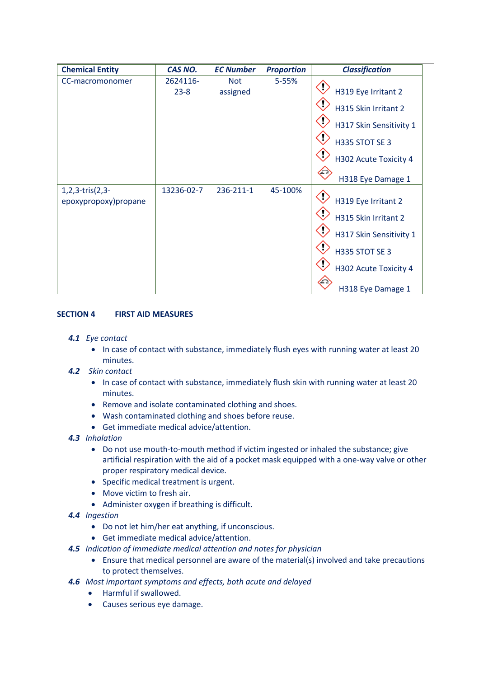| <b>Chemical Entity</b>                           | CAS NO.              | <b>EC Number</b>       | <b>Proportion</b> | <b>Classification</b>                                                                                                                  |
|--------------------------------------------------|----------------------|------------------------|-------------------|----------------------------------------------------------------------------------------------------------------------------------------|
| CC-macromonomer                                  | 2624116-<br>$23 - 8$ | <b>Not</b><br>assigned | 5-55%             | H319 Eye Irritant 2<br>H315 Skin Irritant 2<br>H317 Skin Sensitivity 1<br>H335 STOT SE 3<br>H302 Acute Toxicity 4<br>H318 Eye Damage 1 |
| $1, 2, 3$ -tris $(2, 3-$<br>epoxypropoxy)propane | 13236-02-7           | 236-211-1              | 45-100%           | H319 Eye Irritant 2<br>H315 Skin Irritant 2<br>H317 Skin Sensitivity 1<br>H335 STOT SE 3<br>H302 Acute Toxicity 4<br>H318 Eye Damage 1 |

# **SECTION 4 FIRST AID MEASURES**

- *4.1 Eye contact*
	- In case of contact with substance, immediately flush eyes with running water at least 20 minutes.
- *4.2 Skin contact*
	- In case of contact with substance, immediately flush skin with running water at least 20 minutes.
	- Remove and isolate contaminated clothing and shoes.
	- Wash contaminated clothing and shoes before reuse.
	- Get immediate medical advice/attention.
- *4.3 Inhalation*
	- Do not use mouth-to-mouth method if victim ingested or inhaled the substance; give artificial respiration with the aid of a pocket mask equipped with a one-way valve or other proper respiratory medical device.
	- Specific medical treatment is urgent.
	- Move victim to fresh air.
	- Administer oxygen if breathing is difficult.
- *4.4 Ingestion*
	- Do not let him/her eat anything, if unconscious.
	- Get immediate medical advice/attention.
- *4.5 Indication of immediate medical attention and notes for physician*
	- Ensure that medical personnel are aware of the material(s) involved and take precautions to protect themselves.
- *4.6 Most important symptoms and effects, both acute and delayed*
	- Harmful if swallowed.
	- Causes serious eye damage.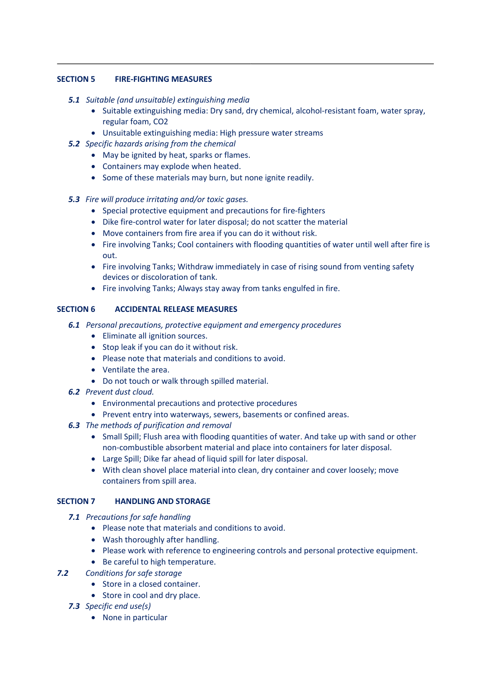# **SECTION 5 FIRE-FIGHTING MEASURES**

#### *5.1 Suitable (and unsuitable) extinguishing media*

- Suitable extinguishing media: Dry sand, dry chemical, alcohol-resistant foam, water spray, regular foam, CO2
- Unsuitable extinguishing media: High pressure water streams
- *5.2 Specific hazards arising from the chemical*
	- May be ignited by heat, sparks or flames.
	- Containers may explode when heated.
	- Some of these materials may burn, but none ignite readily.

# *5.3 Fire will produce irritating and/or toxic gases.*

- Special protective equipment and precautions for fire-fighters
- Dike fire-control water for later disposal; do not scatter the material
- Move containers from fire area if you can do it without risk.
- Fire involving Tanks; Cool containers with flooding quantities of water until well after fire is out.
- Fire involving Tanks; Withdraw immediately in case of rising sound from venting safety devices or discoloration of tank.
- Fire involving Tanks; Always stay away from tanks engulfed in fire.

# **SECTION 6 ACCIDENTAL RELEASE MEASURES**

- *6.1 Personal precautions, protective equipment and emergency procedures*
	- Eliminate all ignition sources.
	- Stop leak if you can do it without risk.
	- Please note that materials and conditions to avoid.
	- Ventilate the area.
	- Do not touch or walk through spilled material.
- *6.2 Prevent dust cloud.*
	- Environmental precautions and protective procedures
	- Prevent entry into waterways, sewers, basements or confined areas.
- *6.3 The methods of purification and removal*
	- Small Spill; Flush area with flooding quantities of water. And take up with sand or other non-combustible absorbent material and place into containers for later disposal.
	- Large Spill; Dike far ahead of liquid spill for later disposal.
	- With clean shovel place material into clean, dry container and cover loosely; move containers from spill area.

#### **SECTION 7 HANDLING AND STORAGE**

- *7.1 Precautions for safe handling*
	- Please note that materials and conditions to avoid.
	- Wash thoroughly after handling.
	- Please work with reference to engineering controls and personal protective equipment.
	- Be careful to high temperature.
- *7.2 Conditions for safe storage*
	- Store in a closed container.
	- Store in cool and dry place.
	- *7.3 Specific end use(s)*
		- None in particular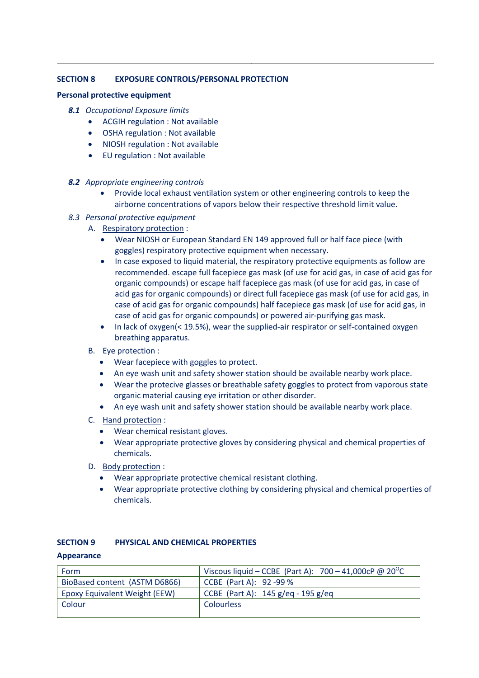# **SECTION 8 EXPOSURE CONTROLS/PERSONAL PROTECTION**

#### **Personal protective equipment**

- *8.1 Occupational Exposure limits*
	- ACGIH regulation : Not available
	- OSHA regulation : Not available
	- NIOSH regulation : Not available
	- EU regulation : Not available
- *8.2 Appropriate engineering controls*
	- Provide local exhaust ventilation system or other engineering controls to keep the airborne concentrations of vapors below their respective threshold limit value.
- *8.3 Personal protective equipment*
	- A. Respiratory protection :
		- Wear NIOSH or European Standard EN 149 approved full or half face piece (with goggles) respiratory protective equipment when necessary.
		- In case exposed to liquid material, the respiratory protective equipments as follow are recommended. escape full facepiece gas mask (of use for acid gas, in case of acid gas for organic compounds) or escape half facepiece gas mask (of use for acid gas, in case of acid gas for organic compounds) or direct full facepiece gas mask (of use for acid gas, in case of acid gas for organic compounds) half facepiece gas mask (of use for acid gas, in case of acid gas for organic compounds) or powered air-purifying gas mask.
		- In lack of oxygen(< 19.5%), wear the supplied-air respirator or self-contained oxygen breathing apparatus.
	- B. Eye protection :
		- Wear facepiece with goggles to protect.
		- An eye wash unit and safety shower station should be available nearby work place.
		- Wear the protecive glasses or breathable safety goggles to protect from vaporous state organic material causing eye irritation or other disorder.
		- An eye wash unit and safety shower station should be available nearby work place.
	- C. Hand protection :
		- Wear chemical resistant gloves.
		- Wear appropriate protective gloves by considering physical and chemical properties of chemicals.
	- D. Body protection :
		- Wear appropriate protective chemical resistant clothing.
		- Wear appropriate protective clothing by considering physical and chemical properties of chemicals.

#### **SECTION 9 PHYSICAL AND CHEMICAL PROPERTIES**

#### **Appearance**

| Form                          | Viscous liquid – CCBE (Part A): $700 - 41,000c$ P @ 20 <sup>o</sup> C |
|-------------------------------|-----------------------------------------------------------------------|
| BioBased content (ASTM D6866) | CCBE (Part A): 92 -99 %                                               |
| Epoxy Equivalent Weight (EEW) | CCBE (Part A): $145 g / eq - 195 g / eq$                              |
| Colour                        | <b>Colourless</b>                                                     |
|                               |                                                                       |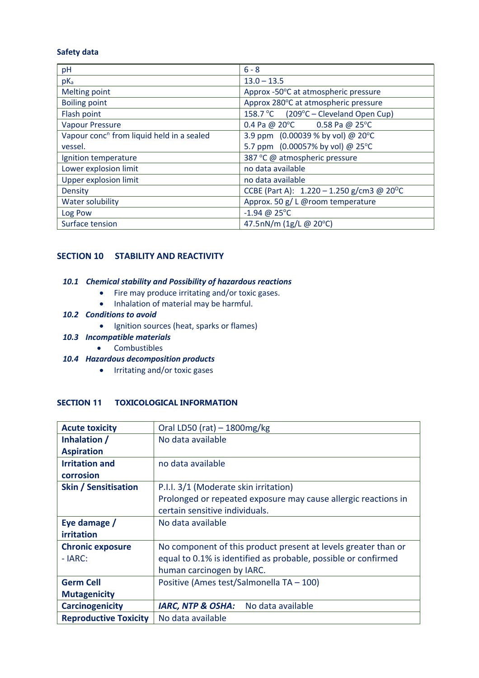#### **Safety data**

| pH                                                    | $6 - 8$                                                  |
|-------------------------------------------------------|----------------------------------------------------------|
| $pK_a$                                                | $13.0 - 13.5$                                            |
| <b>Melting point</b>                                  | Approx -50°C at atmospheric pressure                     |
| <b>Boiling point</b>                                  | Approx 280°C at atmospheric pressure                     |
| Flash point                                           | 158.7 °C (209°C – Cleveland Open Cup)                    |
| <b>Vapour Pressure</b>                                | 0.4 Pa @ 20°C 0.58 Pa @ 25°C                             |
| Vapour conc <sup>n</sup> from liquid held in a sealed | 3.9 ppm (0.00039 % by vol) @ 20°C                        |
| vessel.                                               | 5.7 ppm (0.00057% by vol) @ 25°C                         |
| Ignition temperature                                  | 387 °C @ atmospheric pressure                            |
| Lower explosion limit                                 | no data available                                        |
| <b>Upper explosion limit</b>                          | no data available                                        |
| Density                                               | CCBE (Part A): $1.220 - 1.250$ g/cm3 @ 20 <sup>o</sup> C |
| Water solubility                                      | Approx. 50 g/ L @room temperature                        |
| Log Pow                                               | $-1.94 \ @ 25^{\circ}C$                                  |
| Surface tension                                       | 47.5nN/m (1g/L @ 20°C)                                   |

# **SECTION 10 STABILITY AND REACTIVITY**

# *10.1 Chemical stability and Possibility of hazardous reactions*

- Fire may produce irritating and/or toxic gases.
	- Inhalation of material may be harmful.

#### *10.2 Conditions to avoid*

- Ignition sources (heat, sparks or flames)
- *10.3 Incompatible materials*
	- Combustibles
- *10.4 Hazardous decomposition products*
	- Irritating and/or toxic gases

# **SECTION 11 TOXICOLOGICAL INFORMATION**

| <b>Acute toxicity</b>        | Oral LD50 (rat) $-1800$ mg/kg                                  |
|------------------------------|----------------------------------------------------------------|
| Inhalation /                 | No data available                                              |
| <b>Aspiration</b>            |                                                                |
| <b>Irritation and</b>        | no data available                                              |
| corrosion                    |                                                                |
| <b>Skin / Sensitisation</b>  | P.I.I. 3/1 (Moderate skin irritation)                          |
|                              | Prolonged or repeated exposure may cause allergic reactions in |
|                              | certain sensitive individuals.                                 |
| Eye damage /                 | No data available                                              |
| irritation                   |                                                                |
| <b>Chronic exposure</b>      | No component of this product present at levels greater than or |
| $- IARC:$                    | equal to 0.1% is identified as probable, possible or confirmed |
|                              | human carcinogen by IARC.                                      |
| <b>Germ Cell</b>             | Positive (Ames test/Salmonella TA - 100)                       |
| <b>Mutagenicity</b>          |                                                                |
| <b>Carcinogenicity</b>       | <b>IARC, NTP &amp; OSHA:</b><br>No data available              |
| <b>Reproductive Toxicity</b> | No data available                                              |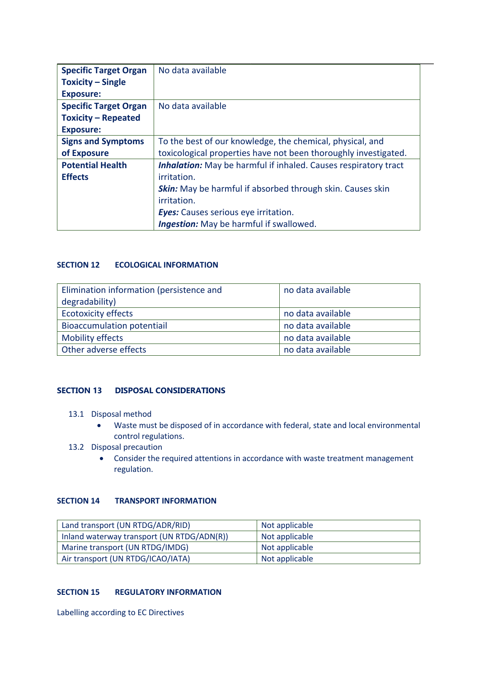| <b>Specific Target Organ</b> | No data available                                                      |
|------------------------------|------------------------------------------------------------------------|
| <b>Toxicity – Single</b>     |                                                                        |
| <b>Exposure:</b>             |                                                                        |
| <b>Specific Target Organ</b> | No data available                                                      |
| <b>Toxicity - Repeated</b>   |                                                                        |
| <b>Exposure:</b>             |                                                                        |
| <b>Signs and Symptoms</b>    | To the best of our knowledge, the chemical, physical, and              |
| of Exposure                  | toxicological properties have not been thoroughly investigated.        |
| <b>Potential Health</b>      | <b>Inhalation:</b> May be harmful if inhaled. Causes respiratory tract |
| <b>Effects</b>               | irritation.                                                            |
|                              | <b>Skin:</b> May be harmful if absorbed through skin. Causes skin      |
|                              | irritation.                                                            |
|                              | <b>Eyes:</b> Causes serious eye irritation.                            |
|                              | <b>Ingestion:</b> May be harmful if swallowed.                         |

# **SECTION 12 ECOLOGICAL INFORMATION**

| Elimination information (persistence and | no data available |
|------------------------------------------|-------------------|
| degradability)                           |                   |
| <b>Ecotoxicity effects</b>               | no data available |
| <b>Bioaccumulation potentiail</b>        | no data available |
| <b>Mobility effects</b>                  | no data available |
| Other adverse effects                    | no data available |

#### **SECTION 13 DISPOSAL CONSIDERATIONS**

- 13.1 Disposal method
	- Waste must be disposed of in accordance with federal, state and local environmental control regulations.
- 13.2 Disposal precaution
	- Consider the required attentions in accordance with waste treatment management regulation.

# **SECTION 14 TRANSPORT INFORMATION**

| Land transport (UN RTDG/ADR/RID)           | Not applicable |
|--------------------------------------------|----------------|
| Inland waterway transport (UN RTDG/ADN(R)) | Not applicable |
| Marine transport (UN RTDG/IMDG)            | Not applicable |
| Air transport (UN RTDG/ICAO/IATA)          | Not applicable |

#### **SECTION 15 REGULATORY INFORMATION**

Labelling according to EC Directives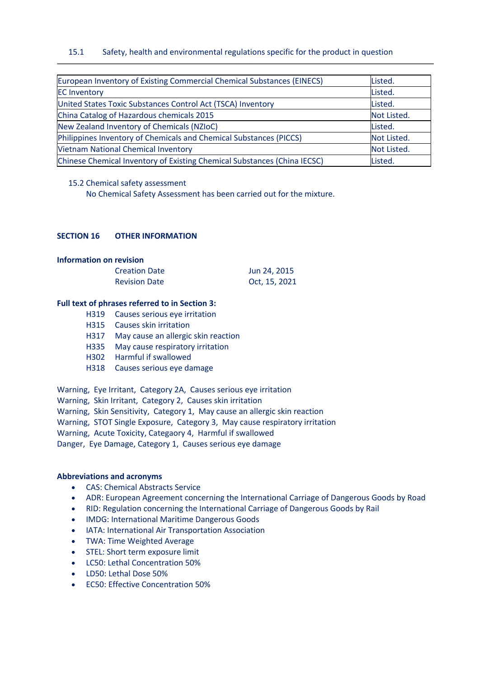#### 15.1 Safety, health and environmental regulations specific for the product in question

| European Inventory of Existing Commercial Chemical Substances (EINECS)   | Listed.     |
|--------------------------------------------------------------------------|-------------|
| <b>EC Inventory</b>                                                      | Listed.     |
| United States Toxic Substances Control Act (TSCA) Inventory              | Listed.     |
| China Catalog of Hazardous chemicals 2015                                | Not Listed. |
| New Zealand Inventory of Chemicals (NZIoC)                               | Listed.     |
| Philippines Inventory of Chemicals and Chemical Substances (PICCS)       | Not Listed. |
| <b>Vietnam National Chemical Inventory</b>                               | Not Listed. |
| Chinese Chemical Inventory of Existing Chemical Substances (China IECSC) | Listed.     |

#### 15.2 Chemical safety assessment

No Chemical Safety Assessment has been carried out for the mixture.

#### **SECTION 16 OTHER INFORMATION**

#### **Information on revision**

| <b>Creation Date</b> | Jun 24, 2015  |
|----------------------|---------------|
| <b>Revision Date</b> | Oct, 15, 2021 |

#### **Full text of phrases referred to in Section 3:**

- H319 Causes serious eye irritation
- H315 Causes skin irritation
- H317 May cause an allergic skin reaction
- H335 May cause respiratory irritation
- H302 Harmful if swallowed
- H318 Causes serious eye damage

Warning, Eye Irritant, Category 2A, Causes serious eye irritation

Warning, Skin Irritant, Category 2, Causes skin irritation

Warning, Skin Sensitivity, Category 1, May cause an allergic skin reaction

Warning, STOT Single Exposure, Category 3, May cause respiratory irritation

Warning, Acute Toxicity, Categaory 4, Harmful if swallowed

Danger, Eye Damage, Category 1, Causes serious eye damage

#### **Abbreviations and acronyms**

- CAS: Chemical Abstracts Service
- ADR: European Agreement concerning the International Carriage of Dangerous Goods by Road
- RID: Regulation concerning the International Carriage of Dangerous Goods by Rail
- IMDG: International Maritime Dangerous Goods
- IATA: International Air Transportation Association
- TWA: Time Weighted Average
- STEL: Short term exposure limit
- LC50: Lethal Concentration 50%
- LD50: Lethal Dose 50%
- EC50: Effective Concentration 50%